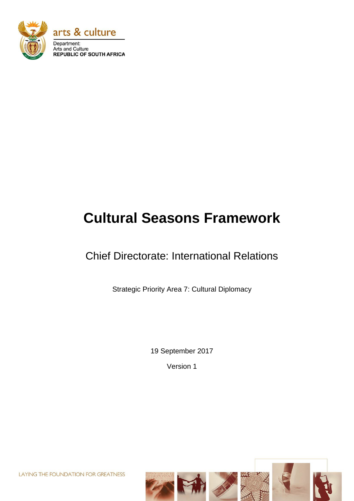

# **Cultural Seasons Framework**

# Chief Directorate: International Relations

Strategic Priority Area 7: Cultural Diplomacy

19 September 2017

Version 1

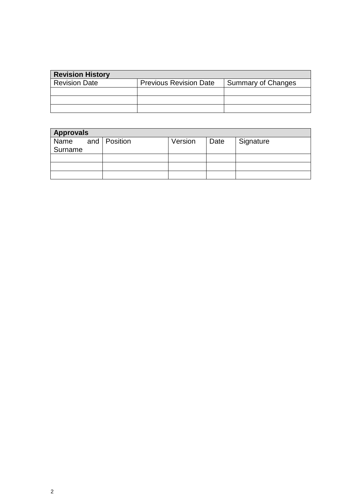| <b>Revision History</b> |                               |                    |
|-------------------------|-------------------------------|--------------------|
| <b>Revision Date</b>    | <b>Previous Revision Date</b> | Summary of Changes |
|                         |                               |                    |
|                         |                               |                    |
|                         |                               |                    |

| <b>Approvals</b>  |  |  |         |      |           |
|-------------------|--|--|---------|------|-----------|
| Name and Position |  |  | Version | Date | Signature |
| Surname           |  |  |         |      |           |
|                   |  |  |         |      |           |
|                   |  |  |         |      |           |
|                   |  |  |         |      |           |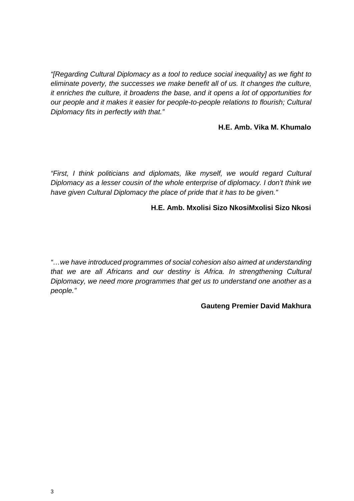*"[Regarding Cultural Diplomacy as a tool to reduce social inequality] as we fight to eliminate poverty, the successes we make benefit all of us. It changes the culture, it enriches the culture, it broadens the base, and it opens a lot of opportunities for our people and it makes it easier for people-to-people relations to flourish; Cultural Diplomacy fits in perfectly with that."*

#### **H.E. Amb. Vika M. Khumalo**

*"First, I think politicians and diplomats, like myself, we would regard Cultural Diplomacy as a lesser cousin of the whole enterprise of diplomacy. I don't think we have given Cultural Diplomacy the place of pride that it has to be given."*

#### **H.E. Amb. Mxolisi Sizo NkosiMxolisi Sizo Nkosi**

*"…we have introduced programmes of social cohesion also aimed at understanding that we are all Africans and our destiny is Africa. In strengthening Cultural Diplomacy, we need more programmes that get us to understand one another as a people."*

#### **Gauteng Premier David Makhura**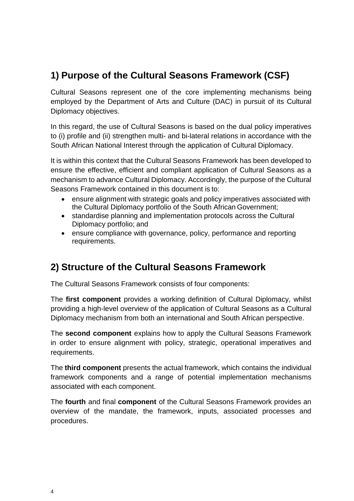# **1) Purpose of the Cultural Seasons Framework (CSF)**

Cultural Seasons represent one of the core implementing mechanisms being employed by the Department of Arts and Culture (DAC) in pursuit of its Cultural Diplomacy objectives.

In this regard, the use of Cultural Seasons is based on the dual policy imperatives to (i) profile and (ii) strengthen multi- and bi-lateral relations in accordance with the South African National Interest through the application of Cultural Diplomacy.

It is within this context that the Cultural Seasons Framework has been developed to ensure the effective, efficient and compliant application of Cultural Seasons as a mechanism to advance Cultural Diplomacy. Accordingly, the purpose of the Cultural Seasons Framework contained in this document is to:

- ensure alignment with strategic goals and policy imperatives associated with the Cultural Diplomacy portfolio of the South African Government;
- standardise planning and implementation protocols across the Cultural Diplomacy portfolio; and
- ensure compliance with governance, policy, performance and reporting requirements.

## **2) Structure of the Cultural Seasons Framework**

The Cultural Seasons Framework consists of four components:

The **first component** provides a working definition of Cultural Diplomacy, whilst providing a high-level overview of the application of Cultural Seasons as a Cultural Diplomacy mechanism from both an international and South African perspective.

The **second component** explains how to apply the Cultural Seasons Framework in order to ensure alignment with policy, strategic, operational imperatives and requirements.

The **third component** presents the actual framework, which contains the individual framework components and a range of potential implementation mechanisms associated with each component.

The **fourth** and final **component** of the Cultural Seasons Framework provides an overview of the mandate, the framework, inputs, associated processes and procedures.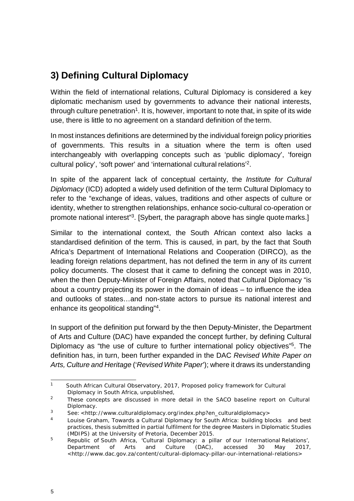# **3) Defining Cultural Diplomacy**

Within the field of international relations, Cultural Diplomacy is considered a key diplomatic mechanism used by governments to advance their national interests, through culture penetration<sup>1</sup>. It is, however, important to note that, in spite of its wide use, there is little to no agreement on a standard definition of the term.

In most instances definitions are determined by the individual foreign policy priorities of governments. This results in a situation where the term is often used interchangeably with overlapping concepts such as 'public diplomacy', 'foreign cultural policy', 'soft power' and 'international cultural relations'2.

In spite of the apparent lack of conceptual certainty, the *Institute for Cultural Diplomacy* (ICD) adopted a widely used definition of the term Cultural Diplomacy to refer to the "exchange of ideas, values, traditions and other aspects of culture or identity, whether to strengthen relationships, enhance socio-cultural co-operation or promote national interest<sup>"3</sup>. [Sybert, the paragraph above has single quote marks.]

Similar to the international context, the South African context also lacks a standardised definition of the term. This is caused, in part, by the fact that South Africa's Department of International Relations and Cooperation (DIRCO), as the leading foreign relations department, has not defined the term in any of its current policy documents. The closest that it came to defining the concept was in 2010, when the then Deputy-Minister of Foreign Affairs, noted that Cultural Diplomacy "is about a country projecting its power in the domain of ideas – to influence the idea and outlooks of states…and non-state actors to pursue its national interest and enhance its geopolitical standing"4.

In support of the definition put forward by the then Deputy-Minister, the Department of Arts and Culture (DAC) have expanded the concept further, by defining Cultural Diplomacy as "the use of culture to further international policy objectives"<sup>5</sup>. The definition has, in turn, been further expanded in the DAC *Revised White Paper on Arts, Culture and Heritage* ('*Revised White Paper*'); where it draws its understanding

<sup>&</sup>lt;sup>1</sup> South African Cultural Observatory, 2017, Proposed policy framework for Cultural Diplomacy in South Africa, unpublished,

<sup>&</sup>lt;sup>2</sup> These concepts are discussed in more detail in the SACO baseline report on Cultural Diplomacy.

<sup>3</sup> See: [<http://www.culturaldiplomacy.org/index.php?en\\_culturaldiplomacy>](http://www.culturaldiplomacy.org/index.php?en_culturaldiplomacy)

<sup>4</sup> Louise Graham, *Towards a Cultural Diplomacy for South Africa: building blocks and best practices*, thesis submitted in partial fulfilment for the degree Masters in Diplomatic Studies (MDIPS) at the University of Pretoria, December 2015.

<sup>&</sup>lt;sup>5</sup> Republic of South Africa, 'Cultural Diplomacy: a pillar of our International Relations', *Department of Arts and Culture (DAC)*, accessed 30 May 2017, [<http://www.dac.gov.za/content/cultural-diplomacy-pillar-our-international-relations>](http://www.dac.gov.za/content/cultural-diplomacy-pillar-our-international-relations)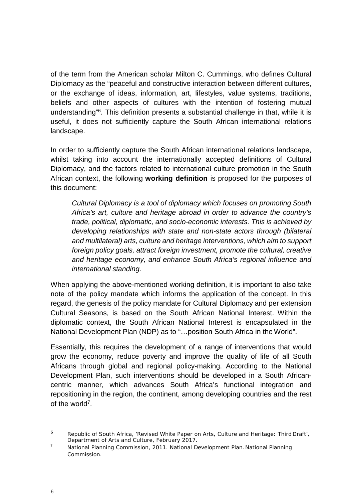of the term from the American scholar Milton C. Cummings, who defines Cultural Diplomacy as the "peaceful and constructive interaction between different cultures, or the exchange of ideas, information, art, lifestyles, value systems, traditions, beliefs and other aspects of cultures with the intention of fostering mutual understanding"6. This definition presents a substantial challenge in that, while it is useful, it does not sufficiently capture the South African international relations landscape.

In order to sufficiently capture the South African international relations landscape, whilst taking into account the internationally accepted definitions of Cultural Diplomacy, and the factors related to international culture promotion in the South African context, the following **working definition** is proposed for the purposes of this document:

*Cultural Diplomacy is a tool of diplomacy which focuses on promoting South Africa's art, culture and heritage abroad in order to advance the country's trade, political, diplomatic, and socio-economic interests. This is achieved by developing relationships with state and non-state actors through (bilateral and multilateral) arts, culture and heritage interventions, which aim to support foreign policy goals, attract foreign investment, promote the cultural, creative and heritage economy, and enhance South Africa's regional influence and international standing.*

When applying the above-mentioned working definition, it is important to also take note of the policy mandate which informs the application of the concept. In this regard, the genesis of the policy mandate for Cultural Diplomacy and per extension Cultural Seasons, is based on the South African National Interest. Within the diplomatic context, the South African National Interest is encapsulated in the National Development Plan (NDP) as to "…position South Africa in the World".

Essentially, this requires the development of a range of interventions that would grow the economy, reduce poverty and improve the quality of life of all South Africans through global and regional policy-making. According to the National Development Plan, such interventions should be developed in a South Africancentric manner, which advances South Africa's functional integration and repositioning in the region, the continent, among developing countries and the rest of the world<sup>7</sup>.

<sup>6</sup> Republic of South Africa, 'Revised White Paper on Arts, Culture and Heritage: Third Draft', *Department of Arts and Culture*, February 2017.

<sup>7</sup> National Planning Commission, 2011. National Development Plan.National Planning Commission.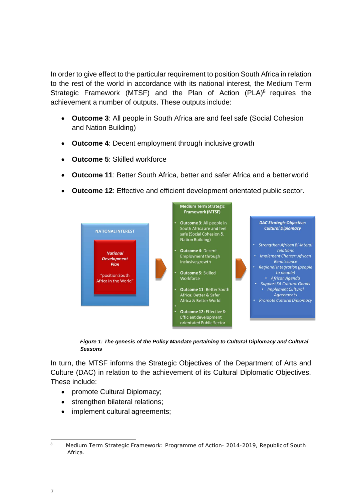In order to give effect to the particular requirement to position South Africa in relation to the rest of the world in accordance with its national interest, the Medium Term Strategic Framework (MTSF) and the Plan of Action  $(PLA)^8$  requires the achievement a number of outputs. These outputs include:

- **Outcome 3**: All people in South Africa are and feel safe (Social Cohesion and Nation Building)
- **Outcome 4**: Decent employment through inclusive growth
- **Outcome 5**: Skilled workforce
- **Outcome 11**: Better South Africa, better and safer Africa and a betterworld
- **Outcome 12:** Effective and efficient development orientated public sector.



*Figure 1: The genesis of the Policy Mandate pertaining to Cultural Diplomacy and Cultural Seasons*

In turn, the MTSF informs the Strategic Objectives of the Department of Arts and Culture (DAC) in relation to the achievement of its Cultural Diplomatic Objectives. These include:

- promote Cultural Diplomacy;
- strengthen bilateral relations;
- implement cultural agreements;

<sup>&</sup>lt;sup>8</sup> Medium Term Strategic Framework: Programme of Action- 2014-2019, Republic of South Africa.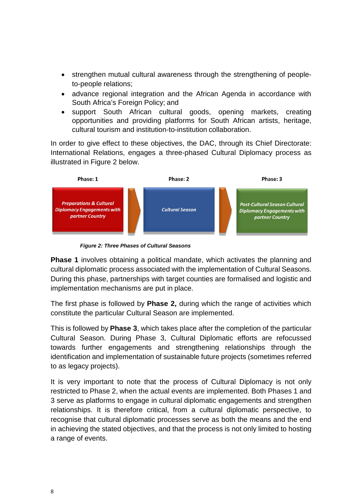- strengthen mutual cultural awareness through the strengthening of peopleto-people relations;
- advance regional integration and the African Agenda in accordance with South Africa's Foreign Policy; and
- support South African cultural goods, opening markets, creating opportunities and providing platforms for South African artists, heritage, cultural tourism and institution-to-institution collaboration.

In order to give effect to these objectives, the DAC, through its Chief Directorate: International Relations, engages a three-phased Cultural Diplomacy process as illustrated in Figure 2 below.



*Figure 2: Three Phases of Cultural Seasons*

**Phase 1** involves obtaining a political mandate, which activates the planning and cultural diplomatic process associated with the implementation of Cultural Seasons. During this phase, partnerships with target counties are formalised and logistic and implementation mechanisms are put in place.

The first phase is followed by **Phase 2,** during which the range of activities which constitute the particular Cultural Season are implemented.

This is followed by **Phase 3**, which takes place after the completion of the particular Cultural Season. During Phase 3, Cultural Diplomatic efforts are refocussed towards further engagements and strengthening relationships through the identification and implementation of sustainable future projects (sometimes referred to as legacy projects).

It is very important to note that the process of Cultural Diplomacy is not only restricted to Phase 2, when the actual events are implemented. Both Phases 1 and 3 serve as platforms to engage in cultural diplomatic engagements and strengthen relationships. It is therefore critical, from a cultural diplomatic perspective, to recognise that cultural diplomatic processes serve as both the means and the end in achieving the stated objectives, and that the process is not only limited to hosting a range of events.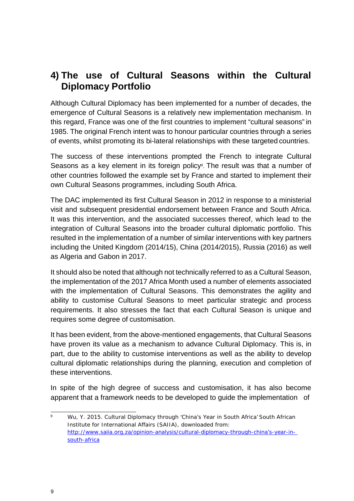## **4) The use of Cultural Seasons within the Cultural Diplomacy Portfolio**

Although Cultural Diplomacy has been implemented for a number of decades, the emergence of Cultural Seasons is a relatively new implementation mechanism. In this regard, France was one of the first countries to implement "cultural seasons" in 1985. The original French intent was to honour particular countries through a series of events, whilst promoting its bi-lateral relationships with these targeted countries.

The success of these interventions prompted the French to integrate Cultural Seasons as a key element in its foreign policy<sup>9</sup>. The result was that a number of other countries followed the example set by France and started to implement their own Cultural Seasons programmes, including South Africa.

The DAC implemented its first Cultural Season in 2012 in response to a ministerial visit and subsequent presidential endorsement between France and South Africa. It was this intervention, and the associated successes thereof, which lead to the integration of Cultural Seasons into the broader cultural diplomatic portfolio. This resulted in the implementation of a number of similar interventions with key partners including the United Kingdom (2014/15), China (2014/2015), Russia (2016) as well as Algeria and Gabon in 2017.

It should also be noted that although not technically referred to as a Cultural Season, the implementation of the 2017 Africa Month used a number of elements associated with the implementation of Cultural Seasons. This demonstrates the agility and ability to customise Cultural Seasons to meet particular strategic and process requirements. It also stresses the fact that each Cultural Season is unique and requires some degree of customisation.

It has been evident, from the above-mentioned engagements, that Cultural Seasons have proven its value as a mechanism to advance Cultural Diplomacy. This is, in part, due to the ability to customise interventions as well as the ability to develop cultural diplomatic relationships during the planning, execution and completion of these interventions.

In spite of the high degree of success and customisation, it has also become apparent that a framework needs to be developed to guide the implementation of

<sup>9</sup> Wu, Y. 2015. Cultural Diplomacy through 'China's Year in South Africa' South African Institute for International Affairs (SAIIA), downloaded from: [http://www.saiia.org.za/opinion-analysis/cultural-diplomacy-through-china's-year-in](http://www.saiia.org.za/opinion-analysis/cultural-diplomacy-through-china%27s-year-in-south-africa)[south-africa](http://www.saiia.org.za/opinion-analysis/cultural-diplomacy-through-china%27s-year-in-south-africa)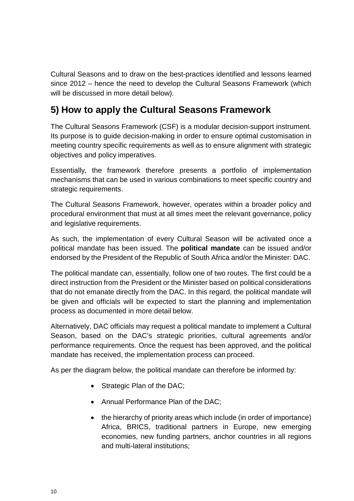Cultural Seasons and to draw on the best-practices identified and lessons learned since 2012 – hence the need to develop the Cultural Seasons Framework (which will be discussed in more detail below).

# **5) How to apply the Cultural Seasons Framework**

The Cultural Seasons Framework (CSF) is a modular decision-support instrument. Its purpose is to guide decision-making in order to ensure optimal customisation in meeting country specific requirements as well as to ensure alignment with strategic objectives and policy imperatives.

Essentially, the framework therefore presents a portfolio of implementation mechanisms that can be used in various combinations to meet specific country and strategic requirements.

The Cultural Seasons Framework, however, operates within a broader policy and procedural environment that must at all times meet the relevant governance, policy and legislative requirements.

As such, the implementation of every Cultural Season will be activated once a political mandate has been issued. The **political mandate** can be issued and/or endorsed by the President of the Republic of South Africa and/or the Minister: DAC.

The political mandate can, essentially, follow one of two routes. The first could be a direct instruction from the President or the Minister based on political considerations that do not emanate directly from the DAC. In this regard, the political mandate will be given and officials will be expected to start the planning and implementation process as documented in more detail below.

Alternatively, DAC officials may request a political mandate to implement a Cultural Season, based on the DAC's strategic priorities, cultural agreements and/or performance requirements. Once the request has been approved, and the political mandate has received, the implementation process can proceed.

As per the diagram below, the political mandate can therefore be informed by:

- Strategic Plan of the DAC;
- Annual Performance Plan of the DAC;
- the hierarchy of priority areas which include (in order of importance) Africa, BRICS, traditional partners in Europe, new emerging economies, new funding partners, anchor countries in all regions and multi-lateral institutions;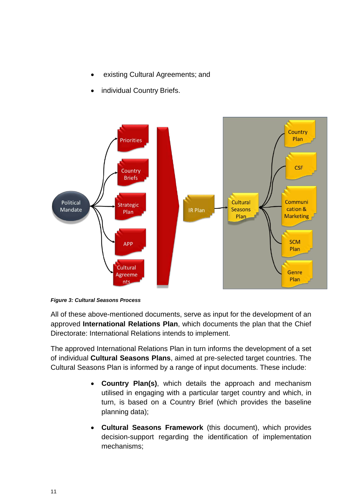- existing Cultural Agreements; and
- individual Country Briefs.





All of these above-mentioned documents, serve as input for the development of an approved **International Relations Plan**, which documents the plan that the Chief Directorate: International Relations intends to implement.

The approved International Relations Plan in turn informs the development of a set of individual **Cultural Seasons Plans**, aimed at pre-selected target countries. The Cultural Seasons Plan is informed by a range of input documents. These include:

- **Country Plan(s)**, which details the approach and mechanism utilised in engaging with a particular target country and which, in turn, is based on a Country Brief (which provides the baseline planning data);
- **Cultural Seasons Framework** (this document), which provides decision-support regarding the identification of implementation mechanisms;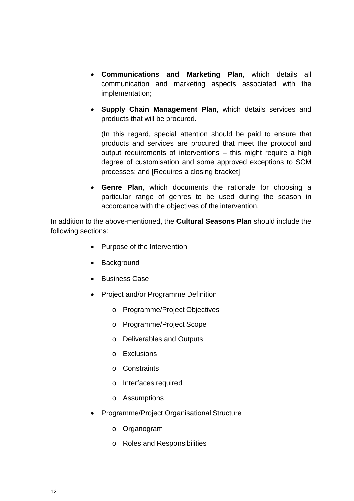- **Communications and Marketing Plan**, which details all communication and marketing aspects associated with the implementation;
- **Supply Chain Management Plan**, which details services and products that will be procured.

(In this regard, special attention should be paid to ensure that products and services are procured that meet the protocol and output requirements of interventions – this might require a high degree of customisation and some approved exceptions to SCM processes; and [Requires a closing bracket]

• **Genre Plan**, which documents the rationale for choosing a particular range of genres to be used during the season in accordance with the objectives of the intervention.

In addition to the above-mentioned, the **Cultural Seasons Plan** should include the following sections:

- Purpose of the Intervention
- Background
- Business Case
- Project and/or Programme Definition
	- o Programme/Project Objectives
	- o Programme/Project Scope
	- o Deliverables and Outputs
	- o Exclusions
	- o Constraints
	- o Interfaces required
	- o Assumptions
- Programme/Project Organisational Structure
	- o Organogram
	- o Roles and Responsibilities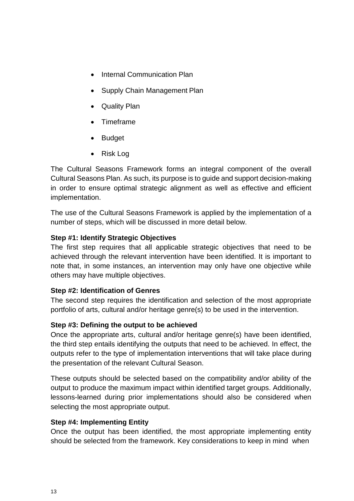- Internal Communication Plan
- Supply Chain Management Plan
- Quality Plan
- Timeframe
- Budget
- Risk Log

The Cultural Seasons Framework forms an integral component of the overall Cultural Seasons Plan. As such, its purpose is to guide and support decision-making in order to ensure optimal strategic alignment as well as effective and efficient implementation.

The use of the Cultural Seasons Framework is applied by the implementation of a number of steps, which will be discussed in more detail below.

#### **Step #1: Identify Strategic Objectives**

The first step requires that all applicable strategic objectives that need to be achieved through the relevant intervention have been identified. It is important to note that, in some instances, an intervention may only have one objective while others may have multiple objectives.

#### **Step #2: Identification of Genres**

The second step requires the identification and selection of the most appropriate portfolio of arts, cultural and/or heritage genre(s) to be used in the intervention.

#### **Step #3: Defining the output to be achieved**

Once the appropriate arts, cultural and/or heritage genre(s) have been identified, the third step entails identifying the outputs that need to be achieved. In effect, the outputs refer to the type of implementation interventions that will take place during the presentation of the relevant Cultural Season.

These outputs should be selected based on the compatibility and/or ability of the output to produce the maximum impact within identified target groups. Additionally, lessons-learned during prior implementations should also be considered when selecting the most appropriate output.

#### **Step #4: Implementing Entity**

Once the output has been identified, the most appropriate implementing entity should be selected from the framework. Key considerations to keep in mind when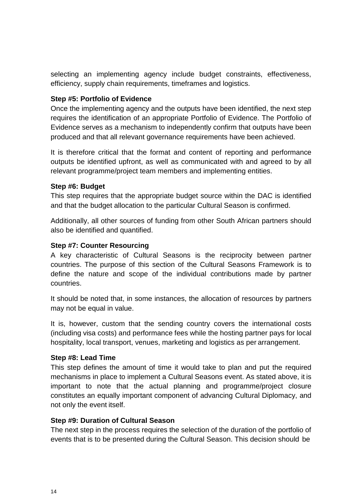selecting an implementing agency include budget constraints, effectiveness, efficiency, supply chain requirements, timeframes and logistics.

#### **Step #5: Portfolio of Evidence**

Once the implementing agency and the outputs have been identified, the next step requires the identification of an appropriate Portfolio of Evidence. The Portfolio of Evidence serves as a mechanism to independently confirm that outputs have been produced and that all relevant governance requirements have been achieved.

It is therefore critical that the format and content of reporting and performance outputs be identified upfront, as well as communicated with and agreed to by all relevant programme/project team members and implementing entities.

#### **Step #6: Budget**

This step requires that the appropriate budget source within the DAC is identified and that the budget allocation to the particular Cultural Season is confirmed.

Additionally, all other sources of funding from other South African partners should also be identified and quantified.

#### **Step #7: Counter Resourcing**

A key characteristic of Cultural Seasons is the reciprocity between partner countries. The purpose of this section of the Cultural Seasons Framework is to define the nature and scope of the individual contributions made by partner countries.

It should be noted that, in some instances, the allocation of resources by partners may not be equal in value.

It is, however, custom that the sending country covers the international costs (including visa costs) and performance fees while the hosting partner pays for local hospitality, local transport, venues, marketing and logistics as per arrangement.

#### **Step #8: Lead Time**

This step defines the amount of time it would take to plan and put the required mechanisms in place to implement a Cultural Seasons event. As stated above, it is important to note that the actual planning and programme/project closure constitutes an equally important component of advancing Cultural Diplomacy, and not only the event itself.

#### **Step #9: Duration of Cultural Season**

The next step in the process requires the selection of the duration of the portfolio of events that is to be presented during the Cultural Season. This decision should be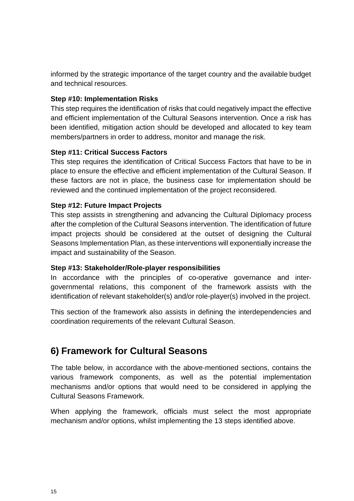informed by the strategic importance of the target country and the available budget and technical resources.

#### **Step #10: Implementation Risks**

This step requires the identification of risks that could negatively impact the effective and efficient implementation of the Cultural Seasons intervention. Once a risk has been identified, mitigation action should be developed and allocated to key team members/partners in order to address, monitor and manage the risk.

#### **Step #11: Critical Success Factors**

This step requires the identification of Critical Success Factors that have to be in place to ensure the effective and efficient implementation of the Cultural Season. If these factors are not in place, the business case for implementation should be reviewed and the continued implementation of the project reconsidered.

#### **Step #12: Future Impact Projects**

This step assists in strengthening and advancing the Cultural Diplomacy process after the completion of the Cultural Seasons intervention. The identification of future impact projects should be considered at the outset of designing the Cultural Seasons Implementation Plan, as these interventions will exponentially increase the impact and sustainability of the Season.

#### **Step #13: Stakeholder/Role-player responsibilities**

In accordance with the principles of co-operative governance and intergovernmental relations, this component of the framework assists with the identification of relevant stakeholder(s) and/or role-player(s) involved in the project.

This section of the framework also assists in defining the interdependencies and coordination requirements of the relevant Cultural Season.

### **6) Framework for Cultural Seasons**

The table below, in accordance with the above-mentioned sections, contains the various framework components, as well as the potential implementation mechanisms and/or options that would need to be considered in applying the Cultural Seasons Framework.

When applying the framework, officials must select the most appropriate mechanism and/or options, whilst implementing the 13 steps identified above.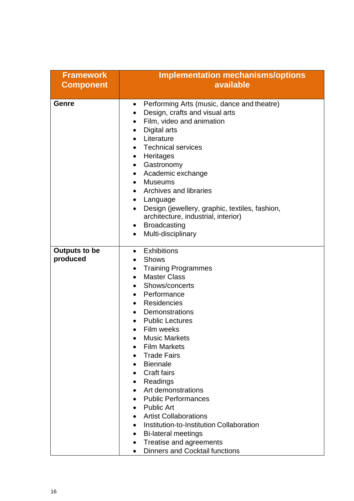| <b>Framework</b>     | <b>Implementation mechanisms/options</b>                    |  |  |  |
|----------------------|-------------------------------------------------------------|--|--|--|
| <b>Component</b>     | available                                                   |  |  |  |
| Genre                | Performing Arts (music, dance and theatre)<br>$\bullet$     |  |  |  |
|                      | Design, crafts and visual arts<br>$\bullet$                 |  |  |  |
|                      | Film, video and animation<br>$\bullet$                      |  |  |  |
|                      | Digital arts<br>$\bullet$                                   |  |  |  |
|                      | Literature<br>$\bullet$                                     |  |  |  |
|                      | <b>Technical services</b><br>$\bullet$                      |  |  |  |
|                      | Heritages<br>$\bullet$                                      |  |  |  |
|                      | Gastronomy<br>$\bullet$                                     |  |  |  |
|                      | Academic exchange<br>$\bullet$                              |  |  |  |
|                      | <b>Museums</b><br>$\bullet$                                 |  |  |  |
|                      | Archives and libraries<br>$\bullet$                         |  |  |  |
|                      | Language<br>$\bullet$                                       |  |  |  |
|                      | Design (jewellery, graphic, textiles, fashion,<br>$\bullet$ |  |  |  |
|                      | architecture, industrial, interior)                         |  |  |  |
|                      | <b>Broadcasting</b><br>$\bullet$                            |  |  |  |
|                      | Multi-disciplinary<br>$\bullet$                             |  |  |  |
| <b>Outputs to be</b> | Exhibitions<br>$\bullet$                                    |  |  |  |
| produced             | <b>Shows</b>                                                |  |  |  |
|                      | <b>Training Programmes</b><br>$\bullet$                     |  |  |  |
|                      | <b>Master Class</b><br>$\bullet$                            |  |  |  |
|                      | Shows/concerts<br>$\bullet$                                 |  |  |  |
|                      | Performance<br>$\bullet$                                    |  |  |  |
|                      | Residencies<br>$\bullet$                                    |  |  |  |
|                      | Demonstrations<br>$\bullet$                                 |  |  |  |
|                      | <b>Public Lectures</b><br>$\bullet$                         |  |  |  |
|                      | Film weeks                                                  |  |  |  |
|                      | <b>Music Markets</b>                                        |  |  |  |
|                      | <b>Film Markets</b>                                         |  |  |  |
|                      | <b>Trade Fairs</b>                                          |  |  |  |
|                      | <b>Biennale</b>                                             |  |  |  |
|                      | <b>Craft fairs</b><br>$\bullet$                             |  |  |  |
|                      | Readings<br>Art demonstrations                              |  |  |  |
|                      | <b>Public Performances</b>                                  |  |  |  |
|                      | <b>Public Art</b><br>$\bullet$                              |  |  |  |
|                      | <b>Artist Collaborations</b><br>$\bullet$                   |  |  |  |
|                      | Institution-to-Institution Collaboration<br>$\bullet$       |  |  |  |
|                      | <b>Bi-lateral meetings</b>                                  |  |  |  |
|                      | Treatise and agreements<br>$\bullet$                        |  |  |  |
|                      | <b>Dinners and Cocktail functions</b><br>$\bullet$          |  |  |  |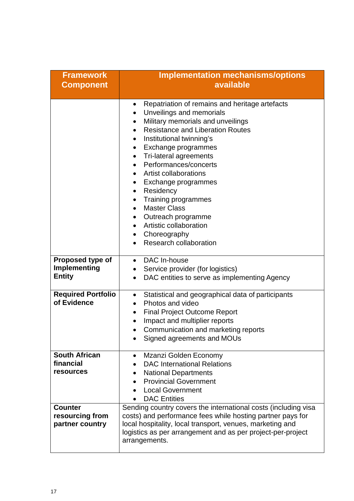| <b>Framework</b>                                      | <b>Implementation mechanisms/options</b><br>available                                                                                                                                                                                                                                                                                                                                                                                                                                                                                                                                                                                                                             |  |  |
|-------------------------------------------------------|-----------------------------------------------------------------------------------------------------------------------------------------------------------------------------------------------------------------------------------------------------------------------------------------------------------------------------------------------------------------------------------------------------------------------------------------------------------------------------------------------------------------------------------------------------------------------------------------------------------------------------------------------------------------------------------|--|--|
| <b>Component</b>                                      |                                                                                                                                                                                                                                                                                                                                                                                                                                                                                                                                                                                                                                                                                   |  |  |
|                                                       | Repatriation of remains and heritage artefacts<br>$\bullet$<br>Unveilings and memorials<br>$\bullet$<br>Military memorials and unveilings<br>$\bullet$<br><b>Resistance and Liberation Routes</b><br>$\bullet$<br>Institutional twinning's<br>$\bullet$<br>Exchange programmes<br>$\bullet$<br>Tri-lateral agreements<br>٠<br>Performances/concerts<br>$\bullet$<br>Artist collaborations<br>$\bullet$<br>Exchange programmes<br>٠<br>Residency<br>٠<br>Training programmes<br>$\bullet$<br><b>Master Class</b><br>$\bullet$<br>Outreach programme<br>$\bullet$<br>Artistic collaboration<br>$\bullet$<br>Choreography<br>$\bullet$<br><b>Research collaboration</b><br>$\bullet$ |  |  |
| Proposed type of<br>Implementing<br><b>Entity</b>     | DAC In-house<br>$\bullet$<br>Service provider (for logistics)<br>$\bullet$<br>DAC entities to serve as implementing Agency<br>$\bullet$                                                                                                                                                                                                                                                                                                                                                                                                                                                                                                                                           |  |  |
| <b>Required Portfolio</b><br>of Evidence              | Statistical and geographical data of participants<br>$\bullet$<br>Photos and video<br>$\bullet$<br><b>Final Project Outcome Report</b><br>$\bullet$<br>Impact and multiplier reports<br>$\bullet$<br>Communication and marketing reports<br>$\bullet$<br>Signed agreements and MOUs                                                                                                                                                                                                                                                                                                                                                                                               |  |  |
| <b>South African</b><br>financial<br><b>resources</b> | Mzanzi Golden Economy<br>$\bullet$<br><b>DAC International Relations</b><br><b>National Departments</b><br><b>Provincial Government</b><br>$\bullet$<br><b>Local Government</b><br><b>DAC Entities</b>                                                                                                                                                                                                                                                                                                                                                                                                                                                                            |  |  |
| <b>Counter</b><br>resourcing from<br>partner country  | Sending country covers the international costs (including visa<br>costs) and performance fees while hosting partner pays for<br>local hospitality, local transport, venues, marketing and<br>logistics as per arrangement and as per project-per-project<br>arrangements.                                                                                                                                                                                                                                                                                                                                                                                                         |  |  |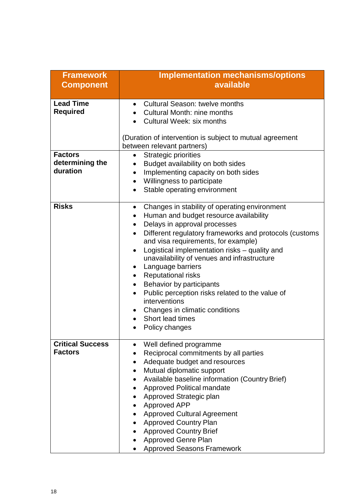| <b>Framework</b>        | <b>Implementation mechanisms/options</b>                            |  |  |  |
|-------------------------|---------------------------------------------------------------------|--|--|--|
| <b>Component</b>        | available                                                           |  |  |  |
| <b>Lead Time</b>        | <b>Cultural Season: twelve months</b>                               |  |  |  |
| <b>Required</b>         | <b>Cultural Month: nine months</b>                                  |  |  |  |
|                         | Cultural Week: six months                                           |  |  |  |
|                         |                                                                     |  |  |  |
|                         | (Duration of intervention is subject to mutual agreement            |  |  |  |
|                         | between relevant partners)                                          |  |  |  |
| <b>Factors</b>          | <b>Strategic priorities</b>                                         |  |  |  |
| determining the         | Budget availability on both sides                                   |  |  |  |
| duration                | Implementing capacity on both sides<br>$\bullet$                    |  |  |  |
|                         | Willingness to participate<br>$\bullet$                             |  |  |  |
|                         | Stable operating environment<br>$\bullet$                           |  |  |  |
| <b>Risks</b>            | Changes in stability of operating environment<br>$\bullet$          |  |  |  |
|                         | Human and budget resource availability                              |  |  |  |
|                         | Delays in approval processes<br>$\bullet$                           |  |  |  |
|                         | Different regulatory frameworks and protocols (customs<br>$\bullet$ |  |  |  |
|                         | and visa requirements, for example)                                 |  |  |  |
|                         | Logistical implementation risks - quality and                       |  |  |  |
|                         | unavailability of venues and infrastructure                         |  |  |  |
|                         | Language barriers<br>$\bullet$                                      |  |  |  |
|                         | <b>Reputational risks</b><br>$\bullet$                              |  |  |  |
|                         | Behavior by participants<br>$\bullet$                               |  |  |  |
|                         | Public perception risks related to the value of<br>$\bullet$        |  |  |  |
|                         | interventions                                                       |  |  |  |
|                         | Changes in climatic conditions                                      |  |  |  |
|                         | Short lead times                                                    |  |  |  |
|                         | Policy changes                                                      |  |  |  |
| <b>Critical Success</b> | Well defined programme<br>$\bullet$                                 |  |  |  |
| <b>Factors</b>          | Reciprocal commitments by all parties                               |  |  |  |
|                         | Adequate budget and resources                                       |  |  |  |
|                         | Mutual diplomatic support                                           |  |  |  |
|                         | Available baseline information (Country Brief)                      |  |  |  |
|                         | <b>Approved Political mandate</b><br>$\bullet$                      |  |  |  |
|                         | Approved Strategic plan                                             |  |  |  |
|                         | Approved APP                                                        |  |  |  |
|                         | <b>Approved Cultural Agreement</b><br>$\bullet$                     |  |  |  |
|                         | <b>Approved Country Plan</b>                                        |  |  |  |
|                         | <b>Approved Country Brief</b>                                       |  |  |  |
|                         | <b>Approved Genre Plan</b>                                          |  |  |  |
|                         | <b>Approved Seasons Framework</b>                                   |  |  |  |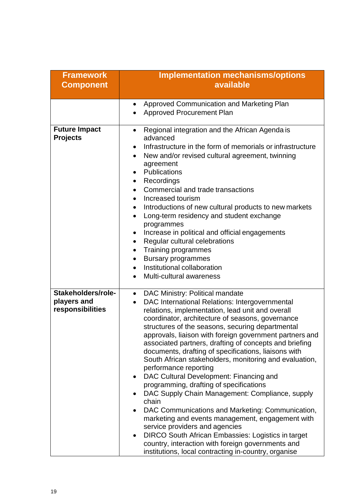| <b>Framework</b><br><b>Component</b>                  | <b>Implementation mechanisms/options</b><br>available                                                                                                                                                                                                                                                                                                                                                                                                                                                                                                                                                                                                                                                                                                                                                                                                                                                                                                                                                                                   |  |  |
|-------------------------------------------------------|-----------------------------------------------------------------------------------------------------------------------------------------------------------------------------------------------------------------------------------------------------------------------------------------------------------------------------------------------------------------------------------------------------------------------------------------------------------------------------------------------------------------------------------------------------------------------------------------------------------------------------------------------------------------------------------------------------------------------------------------------------------------------------------------------------------------------------------------------------------------------------------------------------------------------------------------------------------------------------------------------------------------------------------------|--|--|
|                                                       |                                                                                                                                                                                                                                                                                                                                                                                                                                                                                                                                                                                                                                                                                                                                                                                                                                                                                                                                                                                                                                         |  |  |
|                                                       | Approved Communication and Marketing Plan<br>$\bullet$<br><b>Approved Procurement Plan</b>                                                                                                                                                                                                                                                                                                                                                                                                                                                                                                                                                                                                                                                                                                                                                                                                                                                                                                                                              |  |  |
| <b>Future Impact</b><br><b>Projects</b>               | Regional integration and the African Agenda is<br>$\bullet$<br>advanced<br>Infrastructure in the form of memorials or infrastructure<br>$\bullet$<br>New and/or revised cultural agreement, twinning<br>$\bullet$<br>agreement<br>Publications<br>$\bullet$<br>Recordings<br>$\bullet$<br>Commercial and trade transactions<br>$\bullet$<br>Increased tourism<br>$\bullet$<br>Introductions of new cultural products to new markets<br>$\bullet$<br>Long-term residency and student exchange<br>programmes<br>Increase in political and official engagements<br>$\bullet$<br>Regular cultural celebrations<br>$\bullet$<br>Training programmes<br>$\bullet$<br><b>Bursary programmes</b><br>$\bullet$<br>Institutional collaboration<br>$\bullet$<br>Multi-cultural awareness                                                                                                                                                                                                                                                           |  |  |
| Stakeholders/role-<br>players and<br>responsibilities | DAC Ministry: Political mandate<br>$\bullet$<br>DAC International Relations: Intergovernmental<br>$\bullet$<br>relations, implementation, lead unit and overall<br>coordinator, architecture of seasons, governance<br>structures of the seasons, securing departmental<br>approvals, liaison with foreign government partners and<br>associated partners, drafting of concepts and briefing<br>documents, drafting of specifications, liaisons with<br>South African stakeholders, monitoring and evaluation,<br>performance reporting<br>DAC Cultural Development: Financing and<br>programming, drafting of specifications<br>DAC Supply Chain Management: Compliance, supply<br>chain<br>DAC Communications and Marketing: Communication,<br>$\bullet$<br>marketing and events management, engagement with<br>service providers and agencies<br><b>DIRCO South African Embassies: Logistics in target</b><br>$\bullet$<br>country, interaction with foreign governments and<br>institutions, local contracting in-country, organise |  |  |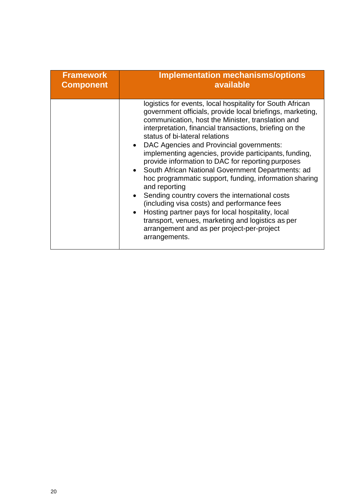| <b>Framework</b> | <b>Implementation mechanisms/options</b>                                                                                                                                                                                                                                                                                                                                                                                                                                                                                                                                                                                                                                                                                                                                                                                                       |  |  |
|------------------|------------------------------------------------------------------------------------------------------------------------------------------------------------------------------------------------------------------------------------------------------------------------------------------------------------------------------------------------------------------------------------------------------------------------------------------------------------------------------------------------------------------------------------------------------------------------------------------------------------------------------------------------------------------------------------------------------------------------------------------------------------------------------------------------------------------------------------------------|--|--|
| <b>Component</b> | available                                                                                                                                                                                                                                                                                                                                                                                                                                                                                                                                                                                                                                                                                                                                                                                                                                      |  |  |
|                  | logistics for events, local hospitality for South African<br>government officials, provide local briefings, marketing,<br>communication, host the Minister, translation and<br>interpretation, financial transactions, briefing on the<br>status of bi-lateral relations<br>DAC Agencies and Provincial governments:<br>implementing agencies, provide participants, funding,<br>provide information to DAC for reporting purposes<br>• South African National Government Departments: ad<br>hoc programmatic support, funding, information sharing<br>and reporting<br>Sending country covers the international costs<br>(including visa costs) and performance fees<br>Hosting partner pays for local hospitality, local<br>transport, venues, marketing and logistics as per<br>arrangement and as per project-per-project<br>arrangements. |  |  |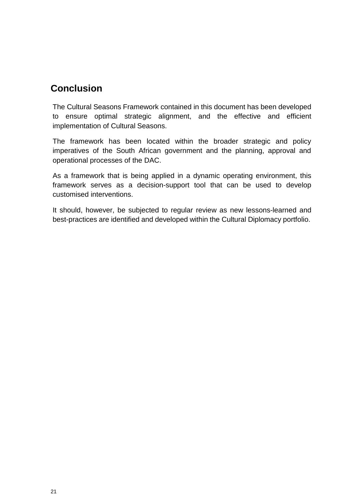### **Conclusion**

The Cultural Seasons Framework contained in this document has been developed to ensure optimal strategic alignment, and the effective and efficient implementation of Cultural Seasons.

The framework has been located within the broader strategic and policy imperatives of the South African government and the planning, approval and operational processes of the DAC.

As a framework that is being applied in a dynamic operating environment, this framework serves as a decision-support tool that can be used to develop customised interventions.

It should, however, be subjected to regular review as new lessons-learned and best-practices are identified and developed within the Cultural Diplomacy portfolio.